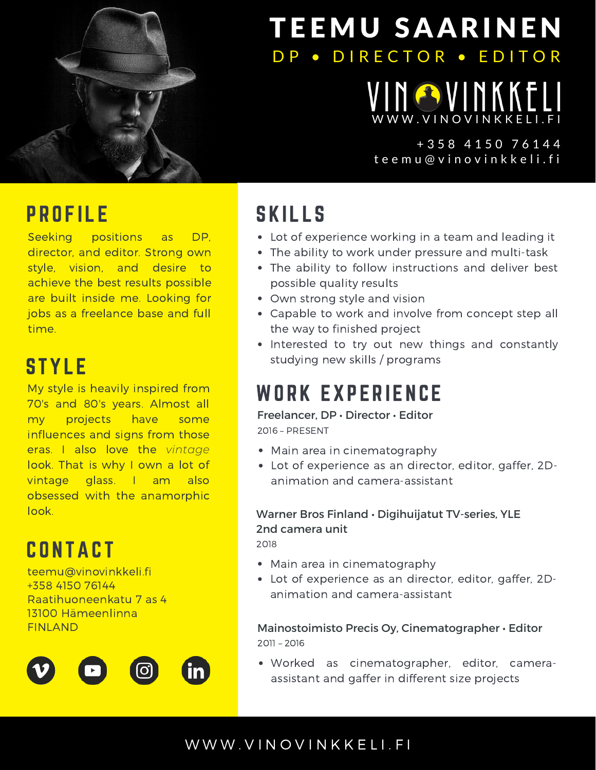

# **TEEMU SAARINEN** DP . DIRECTOR . EDITOR

## NOVINKKE [W](https://www.vinovinkkeli.fi/) W W . V I N O V I N K K E L I . F I

## t e e m u @ v i n o v i n k k e l i . f i + 3 5 8 4 1 5 0 7 6 1 4 4

## **PROFILE**

Seeking positions as DP, director, and editor. Strong own style, vision, and desire to achieve the best results possible are built inside me. Looking for jobs as a freelance base and full time.

## **STYLE**

My style is heavily inspired from 70's and 80's years. Almost all my projects have some influences and signs from those eras. I also love the *vintage* look. That is why I own a lot of vintage glass. I am also obsessed with the anamorphic look.

# **CONTACT**

teemu@vinovinkkeli.fi +358 4150 76144 Raatihuoneenkatu 7 as 4 13100 Hämeenlinna FINLAND



# **SKILLS**

- Lot of experience working in a team and leading it
- The ability to work under pressure and multi-task
- The ability to follow instructions and deliver best possible quality results
- Own strong style and vision
- Capable to work and involve from concept step all the way to finished project
- Interested to try out new things and constantly studying new skills / programs

# WORK EXPERIENCE

Freelancer, DP • Director • Editor 2016 – PRESENT

- Main area in cinematography
- Lot of experience as an director, editor, gaffer, 2Danimation and camera-assistant

### Warner Bros Finland • Digihuijatut TV-series, YLE 2nd camera unit

2018

- Main area in cinematography
- Lot of experience as an director, editor, gaffer, 2Danimation and camera-assistant

Mainostoimisto Precis Oy, Cinematographer • Editor 2011 – 2016

Worked as cinematographer, editor, cameraassistant and gaffer in different size projects

## [W](http://www.vinovinkkeli.fi/) W W . V I N O V I N K K E L I . F I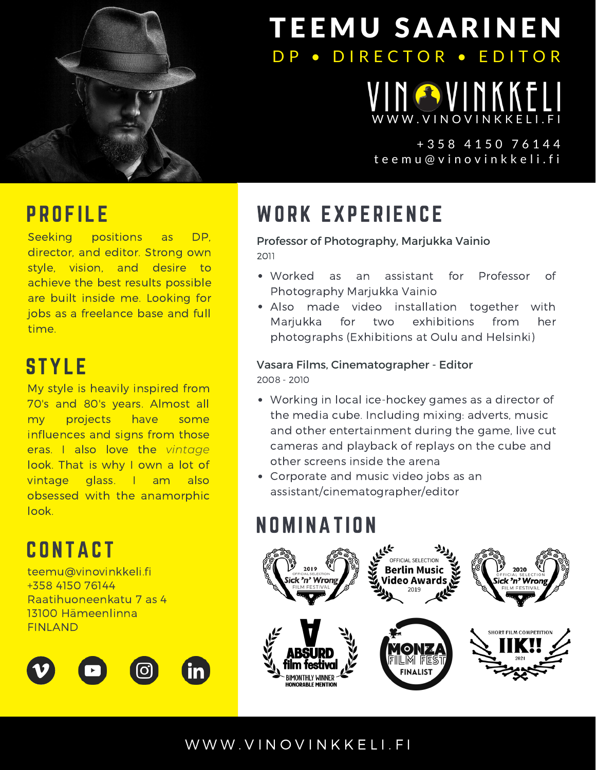

# TEEMU SAARINEN DP . DIRECTOR . EDITOR

INGVINKKE [W](https://www.vinovinkkeli.fi/) W W . V I N O V I N K K E L I . F I

## t e e m u @ v i n o v i n k k e l i . f i + 3 5 8 4 1 5 0 7 6 1 4 4

## **PROFILE**

Seeking positions as DP, director, and editor. Strong own style, vision, and desire to achieve the best results possible are built inside me. Looking for jobs as a freelance base and full time.

## **STYLE**

My style is heavily inspired from 70's and 80's years. Almost all my projects have some influences and signs from those eras. I also love the *vintage* look. That is why I own a lot of vintage glass. I am also obsessed with the anamorphic look.

**CONTACT** 

teemu@vinovinkkeli.fi +358 4150 76144 Raatihuoneenkatu 7 as 4 13100 Hämeenlinna FINLAND



# WORK EXPERIENCE

#### Professor of Photography, Marjukka Vainio 2011

- Worked as an assistant for Professor of Photography Marjukka Vainio
- Also made video installation together with Marjukka for two exhibitions from her photographs (Exhibitions at Oulu and Helsinki)

## Vasara Films, Cinematographer - Editor

2008 - 2010

- Working in local ice-hockey games as a director of the media cube. Including mixing: adverts, music and other entertainment during the game, live cut cameras and playback of replays on the cube and other screens inside the arena
- Corporate and music video jobs as an assistant/cinematographer/editor

## **NOMINATION**



## [W](http://www.vinovinkkeli.fi/) W W . V I N O V I N K K E L I . F I